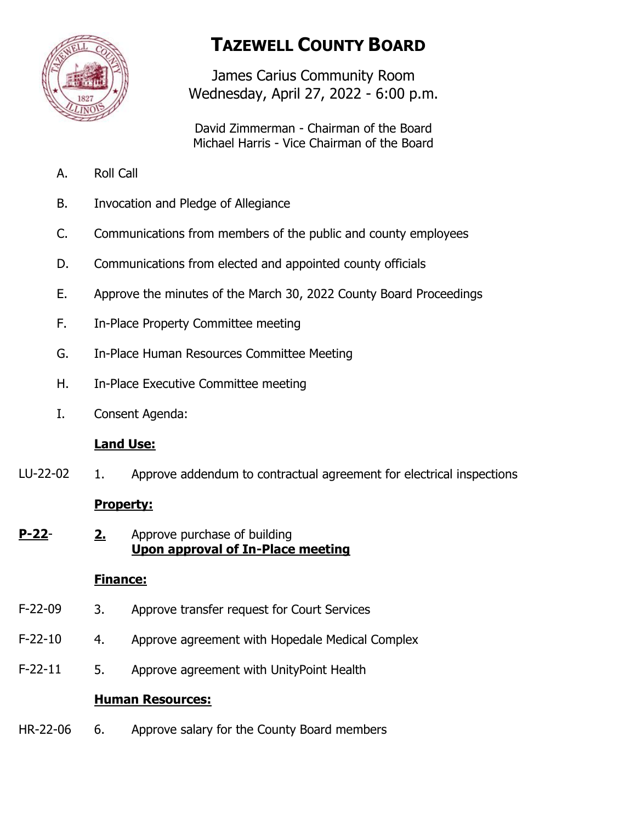

# **TAZEWELL COUNTY BOARD**

James Carius Community Room Wednesday, April 27, 2022 - 6:00 p.m.

David Zimmerman - Chairman of the Board Michael Harris - Vice Chairman of the Board

- A. Roll Call
- B. Invocation and Pledge of Allegiance
- C. Communications from members of the public and county employees
- D. Communications from elected and appointed county officials
- E. Approve the minutes of the March 30, 2022 County Board Proceedings
- F. In-Place Property Committee meeting
- G. In-Place Human Resources Committee Meeting
- H. In-Place Executive Committee meeting
- I. Consent Agenda:

## **Land Use:**

1. Approve addendum to contractual agreement for electrical inspections LU-22-02

## **Property:**

**2.** Approve purchase of building **Upon approval of In-Place meeting P-22**-

## **Finance:**

- 3. Approve transfer request for Court Services F-22-09
- 4. Approve agreement with Hopedale Medical Complex F-22-10
- 5. Approve agreement with UnityPoint Health F-22-11

## **Human Resources:**

6. Approve salary for the County Board members HR-22-06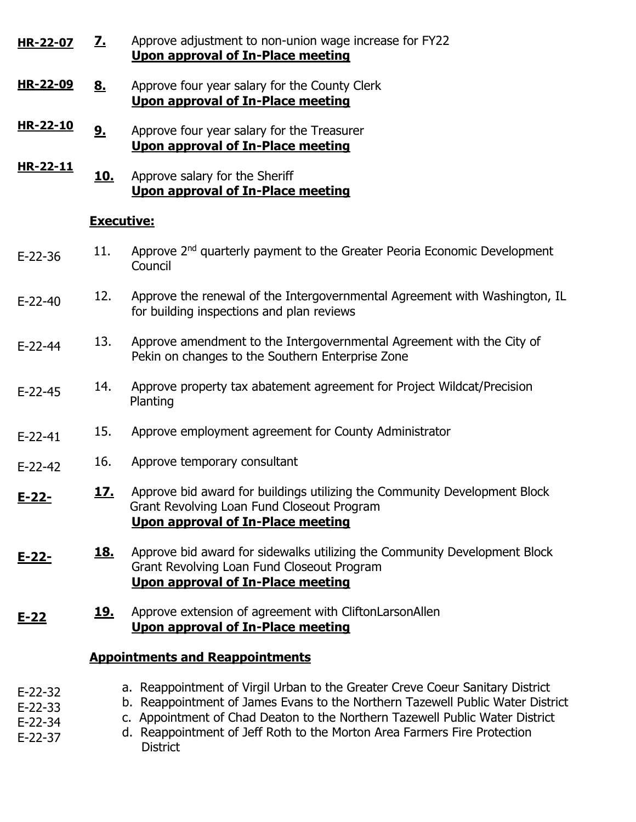|                                                  |                   | Upon approval of In-Place meeting                                                                                                                                                                                                                                                                                                              |
|--------------------------------------------------|-------------------|------------------------------------------------------------------------------------------------------------------------------------------------------------------------------------------------------------------------------------------------------------------------------------------------------------------------------------------------|
| HR-22-09                                         | <u>8.</u>         | Approve four year salary for the County Clerk<br><b>Upon approval of In-Place meeting</b>                                                                                                                                                                                                                                                      |
| HR-22-10                                         | 9 <sub>1</sub>    | Approve four year salary for the Treasurer<br>Upon approval of In-Place meeting                                                                                                                                                                                                                                                                |
| HR-22-11                                         | <u>10.</u>        | Approve salary for the Sheriff<br>Upon approval of In-Place meeting                                                                                                                                                                                                                                                                            |
|                                                  | <b>Executive:</b> |                                                                                                                                                                                                                                                                                                                                                |
| $E-22-36$                                        | 11.               | Approve 2 <sup>nd</sup> quarterly payment to the Greater Peoria Economic Development<br>Council                                                                                                                                                                                                                                                |
| $E-22-40$                                        | 12.               | Approve the renewal of the Intergovernmental Agreement with Washington, IL<br>for building inspections and plan reviews                                                                                                                                                                                                                        |
| $E-22-44$                                        | 13.               | Approve amendment to the Intergovernmental Agreement with the City of<br>Pekin on changes to the Southern Enterprise Zone                                                                                                                                                                                                                      |
| $E-22-45$                                        | 14.               | Approve property tax abatement agreement for Project Wildcat/Precision<br>Planting                                                                                                                                                                                                                                                             |
| $E-22-41$                                        | 15.               | Approve employment agreement for County Administrator                                                                                                                                                                                                                                                                                          |
| $E-22-42$                                        | 16.               | Approve temporary consultant                                                                                                                                                                                                                                                                                                                   |
| <u>E-22-</u>                                     | <u> 17.</u>       | Approve bid award for buildings utilizing the Community Development Block<br>Grant Revolving Loan Fund Closeout Program<br><b>Upon approval of In-Place meeting</b>                                                                                                                                                                            |
| E-22-                                            | <u>18.</u>        | Approve bid award for sidewalks utilizing the Community Development Block<br>Grant Revolving Loan Fund Closeout Program<br><b>Upon approval of In-Place meeting</b>                                                                                                                                                                            |
| $E - 22$                                         | <u> 19.</u>       | Approve extension of agreement with CliftonLarsonAllen<br><b>Upon approval of In-Place meeting</b>                                                                                                                                                                                                                                             |
| <b>Appointments and Reappointments</b>           |                   |                                                                                                                                                                                                                                                                                                                                                |
| $E-22-32$<br>$E-22-33$<br>$E-22-34$<br>$E-22-37$ |                   | a. Reappointment of Virgil Urban to the Greater Creve Coeur Sanitary District<br>b. Reappointment of James Evans to the Northern Tazewell Public Water District<br>c. Appointment of Chad Deaton to the Northern Tazewell Public Water District<br>d. Reappointment of Jeff Roth to the Morton Area Farmers Fire Protection<br><b>District</b> |

**7.** Approve adjustment to non-union wage increase for FY22

**HR-22-07**